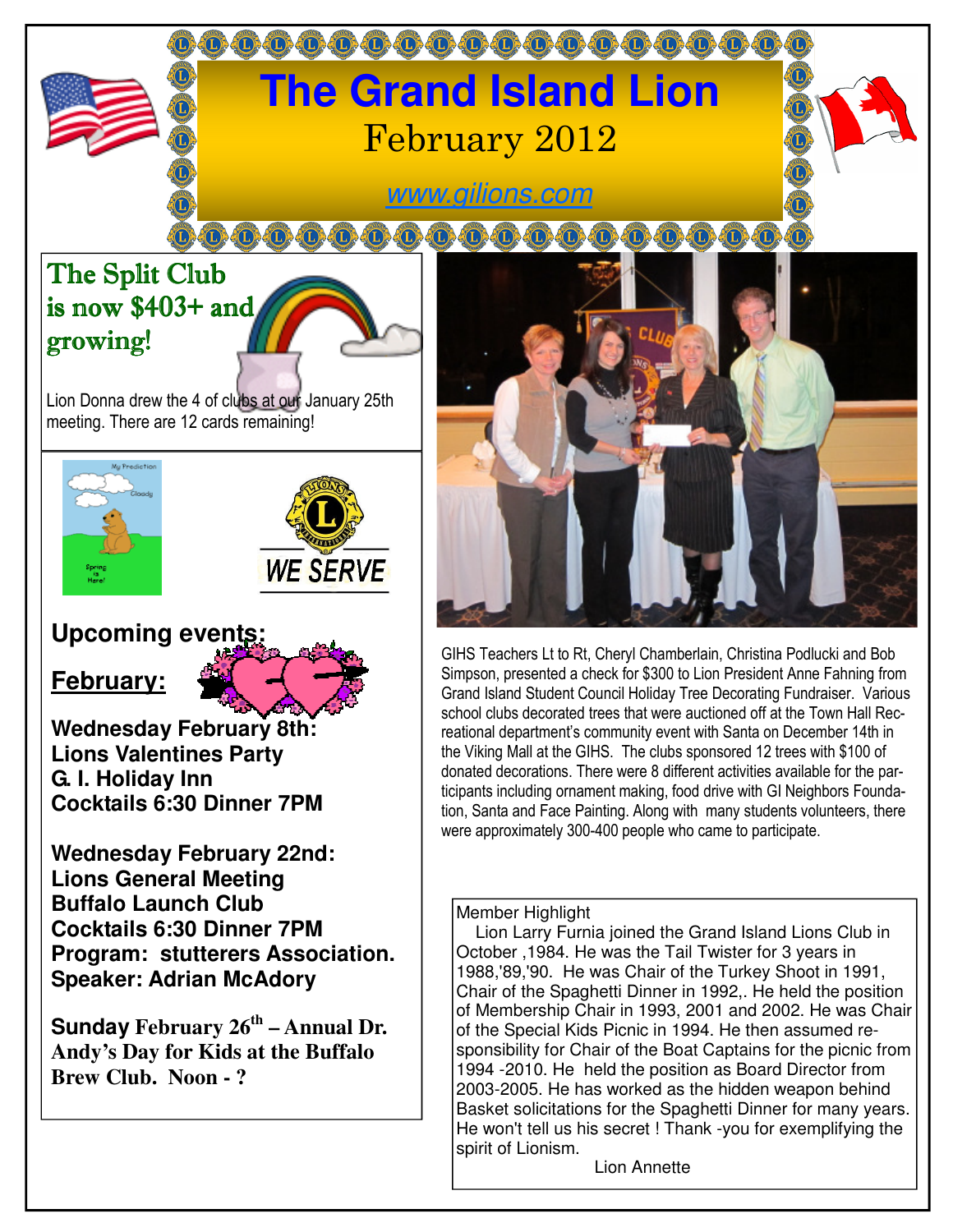# 000000000000000000000 **The Grand Island Lion**  February 2012

### www.gilions.com

## The Split Club is now \$403+ and growing!

Lion Donna drew the 4 of clubs at our January 25th meeting. There are 12 cards remaining!





### **Upcoming events:**

#### **February:**

**Wednesday February 8th: Lions Valentines Party G. I. Holiday Inn Cocktails 6:30 Dinner 7PM** 

**Wednesday February 22nd: Lions General Meeting Buffalo Launch Club Cocktails 6:30 Dinner 7PM Program: stutterers Association. Speaker: Adrian McAdory** 

**Sunday February 26th – Annual Dr. Andy's Day for Kids at the Buffalo Brew Club. Noon - ?** 



GIHS Teachers Lt to Rt, Cheryl Chamberlain, Christina Podlucki and Bob Simpson, presented a check for \$300 to Lion President Anne Fahning from Grand Island Student Council Holiday Tree Decorating Fundraiser. Various school clubs decorated trees that were auctioned off at the Town Hall Recreational department's community event with Santa on December 14th in the Viking Mall at the GIHS. The clubs sponsored 12 trees with \$100 of donated decorations. There were 8 different activities available for the participants including ornament making, food drive with GI Neighbors Foundation, Santa and Face Painting. Along with many students volunteers, there were approximately 300-400 people who came to participate.

#### Member Highlight

 Lion Larry Furnia joined the Grand Island Lions Club in October ,1984. He was the Tail Twister for 3 years in 1988,'89,'90. He was Chair of the Turkey Shoot in 1991, Chair of the Spaghetti Dinner in 1992,. He held the position of Membership Chair in 1993, 2001 and 2002. He was Chair of the Special Kids Picnic in 1994. He then assumed responsibility for Chair of the Boat Captains for the picnic from 1994 -2010. He held the position as Board Director from 2003-2005. He has worked as the hidden weapon behind Basket solicitations for the Spaghetti Dinner for many years. He won't tell us his secret ! Thank -you for exemplifying the spirit of Lionism.

Lion Annette